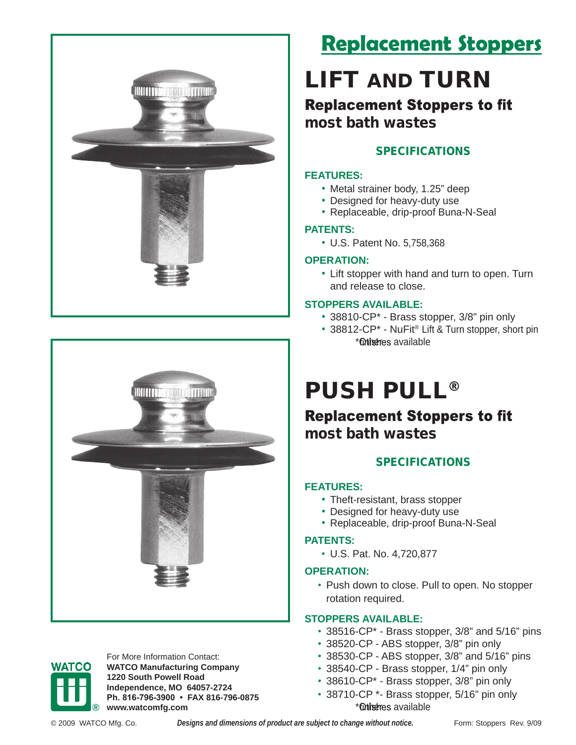



# **Replacement Stoppers**

# LIFT AND TURN

**Replacement Stoppers to fit** most bath wastes

### SPECIFICATIONS

#### **FEATURES:**

- Metal strainer body, 1.25" deep
- Designed for heavy-duty use
- Replaceable, drip-proof Buna-N-Seal

#### **PATENTS:**

• U.S. Patent No. 5,758,368

#### **OPERATION:**

• Lift stopper with hand and turn to open. Turn and release to close.

#### **STOPPERS AVAILABLE:**

- 38810-CP\* Brass stopper, 3/8" pin only
- 38812-CP<sup>\*</sup> NuFit<sup>®</sup> Lift & Turn stopper, short pin \*Otherres available

# PUSH PULL®

## **Replacement Stoppers to fit** most bath wastes

### SPECIFICATIONS

#### **FEATURES:**

- Theft-resistant, brass stopper
- Designed for heavy-duty use
- Replaceable, drip-proof Buna-N-Seal

#### **PATENTS:**

• U.S. Pat. No. 4,720,877

#### **OPERATION:**

• Push down to close. Pull to open. No stopper rotation required.

#### **STOPPERS AVAILABLE:**

- 38516-CP\* Brass stopper, 3/8" and 5/16" pins
- 38520-CP ABS stopper, 3/8" pin only
- 38530-CP ABS stopper, 3/8" and 5/16" pins
- 38540-CP Brass stopper, 1/4" pin only
- 38610-CP\* Brass stopper, 3/8" pin only
- 38710-CP \*- Brass stopper, 5/16" pin only \***Otheres** available



For More Information Contact: **WATCO Manufacturing Company 1220 South Powell Road Independence, MO 64057-2724 Ph. 816-796-3900 • FAX 816-796-0875 ® www.watcomfg.com**